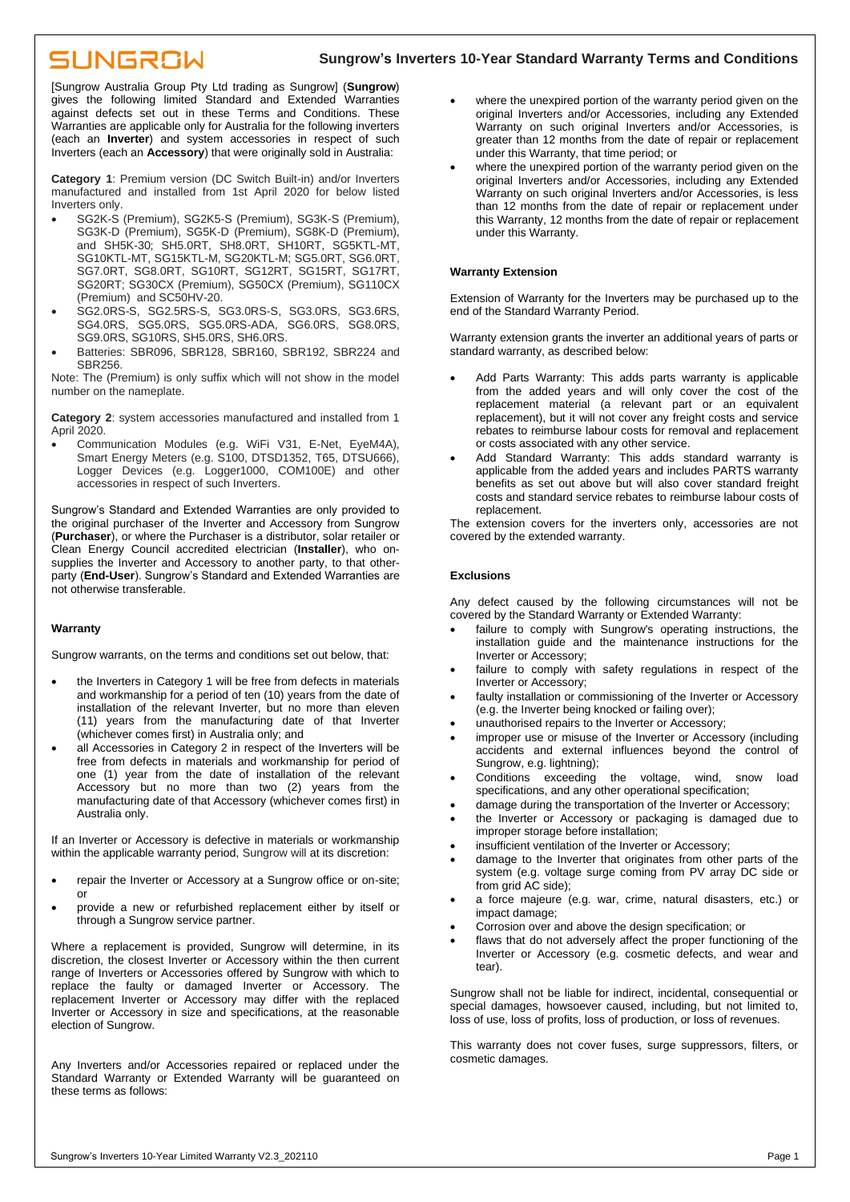## SUNGROW

### **Sungrow's Inverters 10-Year Standard Warranty Terms and Conditions**

[Sungrow Australia Group Pty Ltd trading as Sungrow] (**Sungrow**) gives the following limited Standard and Extended Warranties against defects set out in these Terms and Conditions. These Warranties are applicable only for Australia for the following inverters (each an **Inverter**) and system accessories in respect of such Inverters (each an **Accessory**) that were originally sold in Australia:

**Category 1**: Premium version (DC Switch Built-in) and/or Inverters manufactured and installed from 1st April 2020 for below listed Inverters only.

- SG2K-S (Premium), SG2K5-S (Premium), SG3K-S (Premium), SG3K-D (Premium), SG5K-D (Premium), SG8K-D (Premium), and SH5K-30; SH5.0RT, SH8.0RT, SH10RT, SG5KTL-MT, SG10KTL-MT, SG15KTL-M, SG20KTL-M; SG5.0RT, SG6.0RT, SG7.0RT, SG8.0RT, SG10RT, SG12RT, SG15RT, SG17RT, SG20RT; SG30CX (Premium), SG50CX (Premium), SG110CX (Premium) and SC50HV-20.
- SG2.0RS-S, SG2.5RS-S, SG3.0RS-S, SG3.0RS, SG3.6RS, SG4.0RS, SG5.0RS, SG5.0RS-ADA, SG6.0RS, SG8.0RS, SG9.0RS, SG10RS, SH5.0RS, SH6.0RS.
- Batteries: SBR096, SBR128, SBR160, SBR192, SBR224 and SBR256.

Note: The (Premium) is only suffix which will not show in the model number on the nameplate.

**Category 2**: system accessories manufactured and installed from 1 April 2020.

• Communication Modules (e.g. WiFi V31, E-Net, EyeM4A), Smart Energy Meters (e.g. S100, DTSD1352, T65, DTSU666), Logger Devices (e.g. Logger1000, COM100E) and other accessories in respect of such Inverters.

Sungrow's Standard and Extended Warranties are only provided to the original purchaser of the Inverter and Accessory from Sungrow (**Purchaser**), or where the Purchaser is a distributor, solar retailer or Clean Energy Council accredited electrician (**Installer**), who onsupplies the Inverter and Accessory to another party, to that otherparty (**End-User**). Sungrow's Standard and Extended Warranties are not otherwise transferable.

#### **Warranty**

Sungrow warrants, on the terms and conditions set out below, that:

- the Inverters in Category 1 will be free from defects in materials and workmanship for a period of ten (10) years from the date of installation of the relevant Inverter, but no more than eleven (11) years from the manufacturing date of that Inverter (whichever comes first) in Australia only; and
- all Accessories in Category 2 in respect of the Inverters will be free from defects in materials and workmanship for period of one (1) year from the date of installation of the relevant Accessory but no more than two (2) years from the manufacturing date of that Accessory (whichever comes first) in Australia only.

If an Inverter or Accessory is defective in materials or workmanship within the applicable warranty period, Sungrow will at its discretion:

- repair the Inverter or Accessory at a Sungrow office or on-site; or
- provide a new or refurbished replacement either by itself or through a Sungrow service partner.

Where a replacement is provided, Sungrow will determine, in its discretion, the closest Inverter or Accessory within the then current range of Inverters or Accessories offered by Sungrow with which to replace the faulty or damaged Inverter or Accessory. The replacement Inverter or Accessory may differ with the replaced Inverter or Accessory in size and specifications, at the reasonable election of Sungrow.

Any Inverters and/or Accessories repaired or replaced under the Standard Warranty or Extended Warranty will be guaranteed on these terms as follows:

- where the unexpired portion of the warranty period given on the original Inverters and/or Accessories, including any Extended Warranty on such original Inverters and/or Accessories, is greater than 12 months from the date of repair or replacement under this Warranty, that time period; or
- where the unexpired portion of the warranty period given on the original Inverters and/or Accessories, including any Extended Warranty on such original Inverters and/or Accessories, is less than 12 months from the date of repair or replacement under this Warranty, 12 months from the date of repair or replacement under this Warranty.

#### **Warranty Extension**

Extension of Warranty for the Inverters may be purchased up to the end of the Standard Warranty Period.

Warranty extension grants the inverter an additional years of parts or standard warranty, as described below:

- Add Parts Warranty: This adds parts warranty is applicable from the added years and will only cover the cost of the replacement material (a relevant part or an equivalent replacement), but it will not cover any freight costs and service rebates to reimburse labour costs for removal and replacement or costs associated with any other service.
- Add Standard Warranty: This adds standard warranty is applicable from the added years and includes PARTS warranty benefits as set out above but will also cover standard freight costs and standard service rebates to reimburse labour costs of replacement.

The extension covers for the inverters only, accessories are not covered by the extended warranty.

#### **Exclusions**

Any defect caused by the following circumstances will not be covered by the Standard Warranty or Extended Warranty:

- failure to comply with Sungrow's operating instructions, the installation guide and the maintenance instructions for the Inverter or Accessory;
- failure to comply with safety regulations in respect of the Inverter or Accessory;
- faulty installation or commissioning of the Inverter or Accessory (e.g. the Inverter being knocked or failing over);
- unauthorised repairs to the Inverter or Accessory;
- improper use or misuse of the Inverter or Accessory (including accidents and external influences beyond the control of Sungrow, e.g. lightning);
- Conditions exceeding the voltage, wind, snow load specifications, and any other operational specification;
- damage during the transportation of the Inverter or Accessory;
- the Inverter or Accessory or packaging is damaged due to improper storage before installation;
- insufficient ventilation of the Inverter or Accessory;
- damage to the Inverter that originates from other parts of the system (e.g. voltage surge coming from PV array DC side or from grid AC side);
- a force majeure (e.g. war, crime, natural disasters, etc.) or impact damage;
- Corrosion over and above the design specification; or
- flaws that do not adversely affect the proper functioning of the Inverter or Accessory (e.g. cosmetic defects, and wear and tear).

Sungrow shall not be liable for indirect, incidental, consequential or special damages, howsoever caused, including, but not limited to, loss of use, loss of profits, loss of production, or loss of revenues.

This warranty does not cover fuses, surge suppressors, filters, or cosmetic damages.